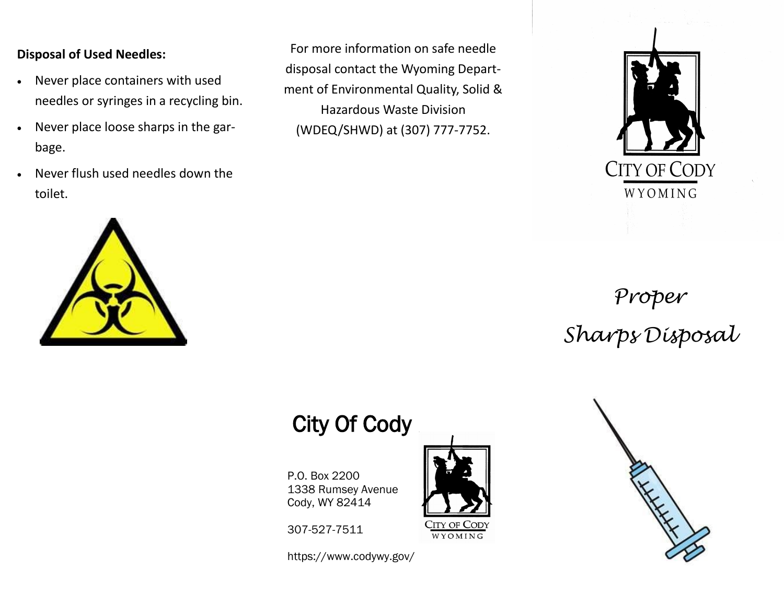#### **Disposal of Used Needles:**

- Never place containers with used needles or syringes in a recycling bin.
- Never place loose sharps in the garbage.
- Never flush used needles down the toilet.

For more information on safe needle disposal contact the Wyoming Department of Environmental Quality, Solid & Hazardous Waste Division (WDEQ/SHWD) at (307) 777-7752.



# *Proper Sharps Disposal*

# City Of Cody

P.O. Box 2200 1338 Rumsey Avenue Cody, WY 82414

307-527-7511

https://www.codywy.gov/